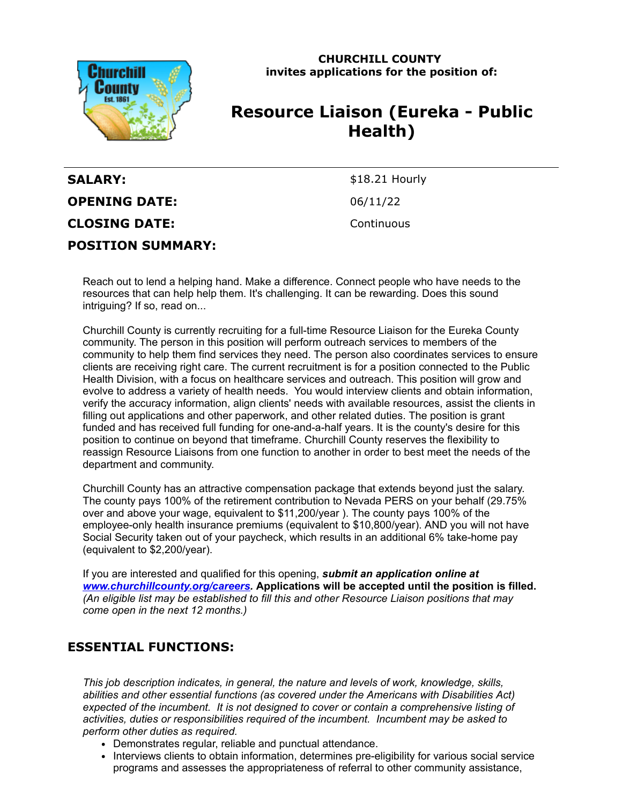

**CHURCHILL COUNTY invites applications for the position of:**

# **Resource Liaison (Eureka - Public Health)**

| <b>SALARY:</b>           |  |
|--------------------------|--|
| <b>OPENING DATE:</b>     |  |
| <b>CLOSING DATE:</b>     |  |
| <b>POSITION SUMMARY:</b> |  |

\$18.21 Hourly **OPENING DATE:** 06/11/22 **CLOSING DATE:** Continuous

Reach out to lend a helping hand. Make a difference. Connect people who have needs to the resources that can help help them. It's challenging. It can be rewarding. Does this sound intriguing? If so, read on...

Churchill County is currently recruiting for a full-time Resource Liaison for the Eureka County community. The person in this position will perform outreach services to members of the community to help them find services they need. The person also coordinates services to ensure clients are receiving right care. The current recruitment is for a position connected to the Public Health Division, with a focus on healthcare services and outreach. This position will grow and evolve to address a variety of health needs. You would interview clients and obtain information, verify the accuracy information, align clients' needs with available resources, assist the clients in filling out applications and other paperwork, and other related duties. The position is grant funded and has received full funding for one-and-a-half years. It is the county's desire for this position to continue on beyond that timeframe. Churchill County reserves the flexibility to reassign Resource Liaisons from one function to another in order to best meet the needs of the department and community.

Churchill County has an attractive compensation package that extends beyond just the salary. The county pays 100% of the retirement contribution to Nevada PERS on your behalf (29.75% over and above your wage, equivalent to \$11,200/year ). The county pays 100% of the employee-only health insurance premiums (equivalent to \$10,800/year). AND you will not have Social Security taken out of your paycheck, which results in an additional 6% take-home pay (equivalent to \$2,200/year).

If you are interested and qualified for this opening, *submit an application online at [www.churchillcounty.org/careers](https://www.churchillcounty.org/careers).* **Applications will be accepted until the position is filled.** *(An eligible list may be established to fill this and other Resource Liaison positions that may come open in the next 12 months.)*

### **ESSENTIAL FUNCTIONS:**

*This job description indicates, in general, the nature and levels of work, knowledge, skills, abilities and other essential functions (as covered under the Americans with Disabilities Act) expected of the incumbent. It is not designed to cover or contain a comprehensive listing of activities, duties or responsibilities required of the incumbent. Incumbent may be asked to perform other duties as required.*

- Demonstrates regular, reliable and punctual attendance.
- Interviews clients to obtain information, determines pre-eligibility for various social service programs and assesses the appropriateness of referral to other community assistance,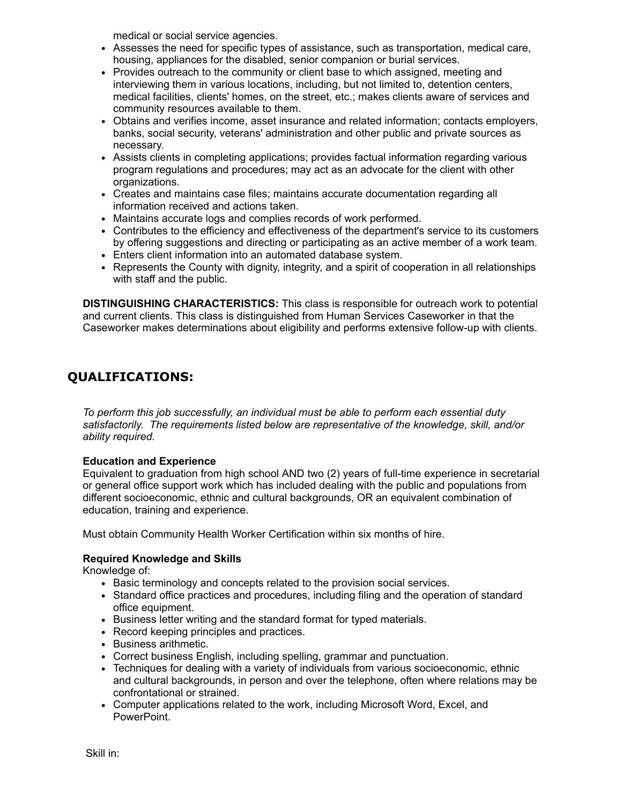medical or social service agencies.

- Assesses the need for specific types of assistance, such as transportation, medical care, housing, appliances for the disabled, senior companion or burial services.
- Provides outreach to the community or client base to which assigned, meeting and interviewing them in various locations, including, but not limited to, detention centers, medical facilities, clients' homes, on the street, etc.; makes clients aware of services and community resources available to them.
- Obtains and verifies income, asset insurance and related information; contacts employers, banks, social security, veterans' administration and other public and private sources as necessary.
- Assists clients in completing applications; provides factual information regarding various program regulations and procedures; may act as an advocate for the client with other organizations.
- Creates and maintains case files; maintains accurate documentation regarding all information received and actions taken.
- Maintains accurate logs and complies records of work performed.
- Contributes to the efficiency and effectiveness of the department's service to its customers by offering suggestions and directing or participating as an active member of a work team.
- Enters client information into an automated database system.
- Represents the County with dignity, integrity, and a spirit of cooperation in all relationships with staff and the public.

**DISTINGUISHING CHARACTERISTICS:** This class is responsible for outreach work to potential and current clients. This class is distinguished from Human Services Caseworker in that the Caseworker makes determinations about eligibility and performs extensive follow-up with clients.

# **QUALIFICATIONS:**

*To perform this job successfully, an individual must be able to perform each essential duty satisfactorily. The requirements listed below are representative of the knowledge, skill, and/or ability required.*

### **Education and Experience**

Equivalent to graduation from high school AND two (2) years of full-time experience in secretarial or general office support work which has included dealing with the public and populations from different socioeconomic, ethnic and cultural backgrounds, OR an equivalent combination of education, training and experience.

Must obtain Community Health Worker Certification within six months of hire.

#### **Required Knowledge and Skills**

Knowledge of:

- Basic terminology and concepts related to the provision social services.
- Standard office practices and procedures, including filing and the operation of standard office equipment.
- Business letter writing and the standard format for typed materials.
- Record keeping principles and practices.
- Business arithmetic.
- Correct business English, including spelling, grammar and punctuation.
- Techniques for dealing with a variety of individuals from various socioeconomic, ethnic and cultural backgrounds, in person and over the telephone, often where relations may be confrontational or strained.
- Computer applications related to the work, including Microsoft Word, Excel, and PowerPoint.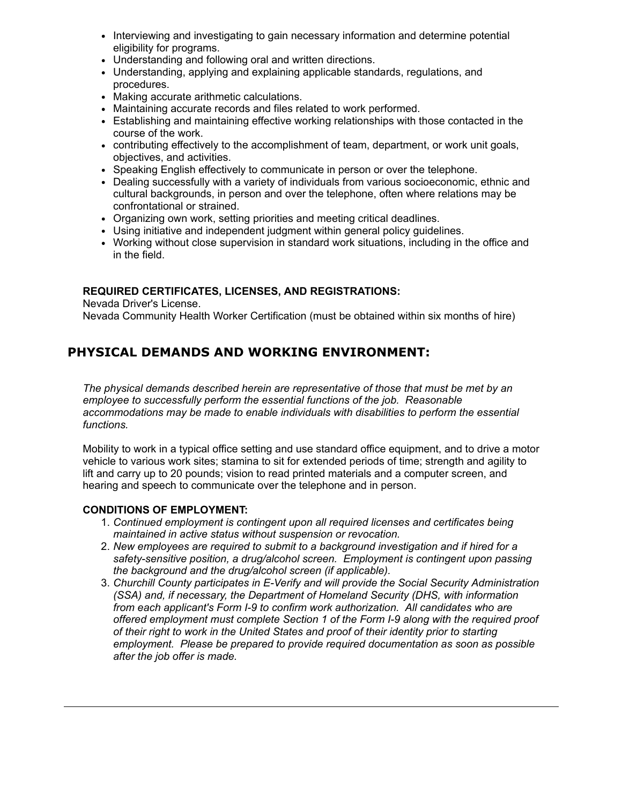- Interviewing and investigating to gain necessary information and determine potential eligibility for programs.
- Understanding and following oral and written directions.
- Understanding, applying and explaining applicable standards, regulations, and procedures.
- Making accurate arithmetic calculations.
- Maintaining accurate records and files related to work performed.
- Establishing and maintaining effective working relationships with those contacted in the course of the work.
- contributing effectively to the accomplishment of team, department, or work unit goals, objectives, and activities.
- Speaking English effectively to communicate in person or over the telephone.
- Dealing successfully with a variety of individuals from various socioeconomic, ethnic and cultural backgrounds, in person and over the telephone, often where relations may be confrontational or strained.
- Organizing own work, setting priorities and meeting critical deadlines.
- Using initiative and independent judgment within general policy guidelines.
- Working without close supervision in standard work situations, including in the office and in the field.

#### **REQUIRED CERTIFICATES, LICENSES, AND REGISTRATIONS:**

Nevada Driver's License.

Nevada Community Health Worker Certification (must be obtained within six months of hire)

## **PHYSICAL DEMANDS AND WORKING ENVIRONMENT:**

*The physical demands described herein are representative of those that must be met by an employee to successfully perform the essential functions of the job. Reasonable accommodations may be made to enable individuals with disabilities to perform the essential functions.*

Mobility to work in a typical office setting and use standard office equipment, and to drive a motor vehicle to various work sites; stamina to sit for extended periods of time; strength and agility to lift and carry up to 20 pounds; vision to read printed materials and a computer screen, and hearing and speech to communicate over the telephone and in person.

#### **CONDITIONS OF EMPLOYMENT:**

- 1. *Continued employment is contingent upon all required licenses and certificates being maintained in active status without suspension or revocation.*
- 2. *New employees are required to submit to a background investigation and if hired for a safety-sensitive position, a drug/alcohol screen. Employment is contingent upon passing the background and the drug/alcohol screen (if applicable).*
- 3. *Churchill County participates in E-Verify and will provide the Social Security Administration (SSA) and, if necessary, the Department of Homeland Security (DHS, with information from each applicant's Form I-9 to confirm work authorization. All candidates who are offered employment must complete Section 1 of the Form I-9 along with the required proof of their right to work in the United States and proof of their identity prior to starting employment. Please be prepared to provide required documentation as soon as possible after the job offer is made.*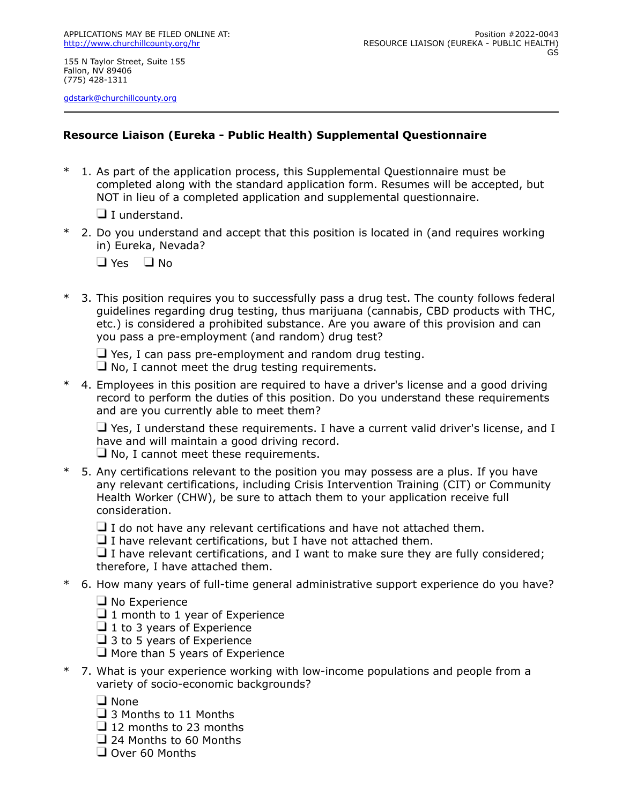155 N Taylor Street, Suite 155 Fallon, NV 89406 (775) 428-1311

[gdstark@churchillcounty.org](mailto:gdstark@churchillcounty.org)

### **Resource Liaison (Eureka - Public Health) Supplemental Questionnaire**

1. As part of the application process, this Supplemental Questionnaire must be completed along with the standard application form. Resumes will be accepted, but NOT in lieu of a completed application and supplemental questionnaire.

 $\Box$  I understand.

- \* 2. Do you understand and accept that this position is located in (and requires working in) Eureka, Nevada?
	- $\Box$  Yes  $\Box$  No
- \* 3. This position requires you to successfully pass a drug test. The county follows federal guidelines regarding drug testing, thus marijuana (cannabis, CBD products with THC, etc.) is considered a prohibited substance. Are you aware of this provision and can you pass a pre-employment (and random) drug test?

 $\Box$  Yes, I can pass pre-employment and random drug testing.

- $\Box$  No, I cannot meet the drug testing requirements.
- \* 4. Employees in this position are required to have a driver's license and a good driving record to perform the duties of this position. Do you understand these requirements and are you currently able to meet them?

 $\Box$  Yes, I understand these requirements. I have a current valid driver's license, and I have and will maintain a good driving record.

 $\Box$  No, I cannot meet these requirements.

\* 5. Any certifications relevant to the position you may possess are a plus. If you have any relevant certifications, including Crisis Intervention Training (CIT) or Community Health Worker (CHW), be sure to attach them to your application receive full consideration.

 $\Box$  I do not have any relevant certifications and have not attached them.

 $\Box$  I have relevant certifications, but I have not attached them.

 $\Box$  I have relevant certifications, and I want to make sure they are fully considered; therefore, I have attached them.

- \* 6. How many years of full-time general administrative support experience do you have?
	- $\Box$  No Experience

 $\Box$  1 month to 1 year of Experience

 $\Box$  1 to 3 years of Experience

 $\Box$  3 to 5 years of Experience

 $\Box$  More than 5 years of Experience

\* 7. What is your experience working with low-income populations and people from a variety of socio-economic backgrounds?

□ None

□ 3 Months to 11 Months

 $\Box$  12 months to 23 months

- □ 24 Months to 60 Months
- $\Box$  Over 60 Months